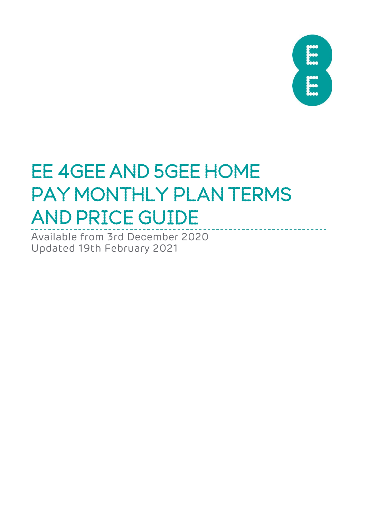

# EE 4GEE AND 5GEE HOME PAY MONTHLY PLAN TERMS AND PRICE GUIDE

Available from 3rd December 2020 Updated 19th February 2021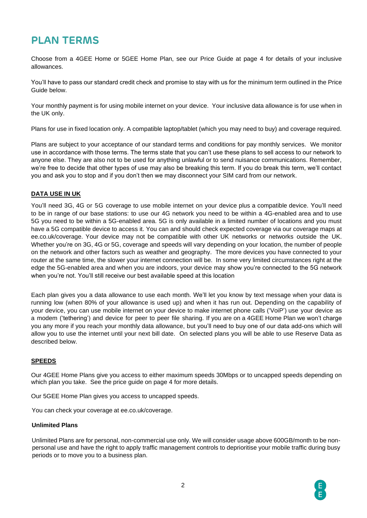# **PLAN TERMS**

Choose from a 4GEE Home or 5GEE Home Plan, see our Price Guide at page 4 for details of your inclusive allowances.

You'll have to pass our standard credit check and promise to stay with us for the minimum term outlined in the Price Guide below.

Your monthly payment is for using mobile internet on your device. Your inclusive data allowance is for use when in the UK only.

Plans for use in fixed location only. A compatible laptop/tablet (which you may need to buy) and coverage required.

Plans are subject to your acceptance of our standard terms and conditions for pay monthly services. We monitor use in accordance with those terms. The terms state that you can't use these plans to sell access to our network to anyone else. They are also not to be used for anything unlawful or to send nuisance communications. Remember, we're free to decide that other types of use may also be breaking this term. If you do break this term, we'll contact you and ask you to stop and if you don't then we may disconnect your SIM card from our network.

## **DATA USE IN UK**

You'll need 3G, 4G or 5G coverage to use mobile internet on your device plus a compatible device. You'll need to be in range of our base stations: to use our 4G network you need to be within a 4G-enabled area and to use 5G you need to be within a 5G-enabled area. 5G is only available in a limited number of locations and you must have a 5G compatible device to access it. You can and should check expected coverage via our coverage maps at ee.co.uk/coverage. Your device may not be compatible with other UK networks or networks outside the UK. Whether you're on 3G, 4G or 5G, coverage and speeds will vary depending on your location, the number of people on the network and other factors such as weather and geography. The more devices you have connected to your router at the same time, the slower your internet connection will be. In some very limited circumstances right at the edge the 5G-enabled area and when you are indoors, your device may show you're connected to the 5G network when you're not. You'll still receive our best available speed at this location

Each plan gives you a data allowance to use each month. We'll let you know by text message when your data is running low (when 80% of your allowance is used up) and when it has run out. Depending on the capability of your device, you can use mobile internet on your device to make internet phone calls ('VoiP') use your device as a modem ('tethering') and device for peer to peer file sharing. If you are on a 4GEE Home Plan we won't charge you any more if you reach your monthly data allowance, but you'll need to buy one of our data add-ons which will allow you to use the internet until your next bill date. On selected plans you will be able to use Reserve Data as described below.

### **SPEEDS**

Our 4GEE Home Plans give you access to either maximum speeds 30Mbps or to uncapped speeds depending on which plan you take. See the price guide on page 4 for more details.

Our 5GEE Home Plan gives you access to uncapped speeds.

You can check your coverage at ee.co.uk/coverage.

#### **Unlimited Plans**

Unlimited Plans are for personal, non-commercial use only. We will consider usage above 600GB/month to be nonpersonal use and have the right to apply traffic management controls to deprioritise your mobile traffic during busy periods or to move you to a business plan.

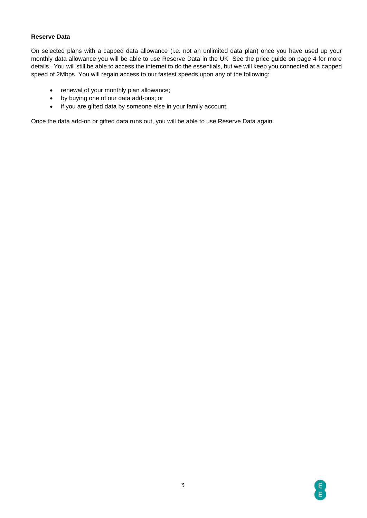## **Reserve Data**

On selected plans with a capped data allowance (i.e. not an unlimited data plan) once you have used up your monthly data allowance you will be able to use Reserve Data in the UK See the price guide on page 4 for more details. You will still be able to access the internet to do the essentials, but we will keep you connected at a capped speed of 2Mbps. You will regain access to our fastest speeds upon any of the following:

- renewal of your monthly plan allowance;
- by buying one of our data add-ons; or
- if you are gifted data by someone else in your family account.

Once the data add-on or gifted data runs out, you will be able to use Reserve Data again.